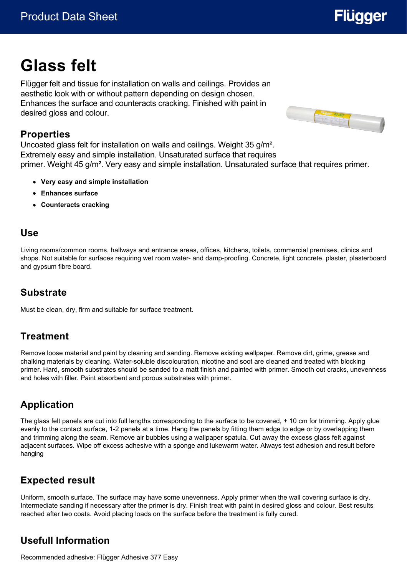# **Glass felt**

Flügger felt and tissue for installation on walls and ceilings. Provides an aesthetic look with or without pattern depending on design chosen. Enhances the surface and counteracts cracking. Finished with paint in desired gloss and colour.

#### **Properties**

Uncoated glass felt for installation on walls and ceilings. Weight 35 g/m². Extremely easy and simple installation. Unsaturated surface that requires primer. Weight 45 g/m². Very easy and simple installation. Unsaturated surface that requires primer.

- **Very easy and simple installation**
- **Enhances surface**
- **Counteracts cracking**

#### **Use**

Living rooms/common rooms, hallways and entrance areas, offices, kitchens, toilets, commercial premises, clinics and shops. Not suitable for surfaces requiring wet room water- and damp-proofing. Concrete, light concrete, plaster, plasterboard and gypsum fibre board.

#### **Substrate**

Must be clean, dry, firm and suitable for surface treatment.

#### **Treatment**

Remove loose material and paint by cleaning and sanding. Remove existing wallpaper. Remove dirt, grime, grease and chalking materials by cleaning. Water-soluble discolouration, nicotine and soot are cleaned and treated with blocking primer. Hard, smooth substrates should be sanded to a matt finish and painted with primer. Smooth out cracks, unevenness and holes with filler. Paint absorbent and porous substrates with primer.

#### **Application**

The glass felt panels are cut into full lengths corresponding to the surface to be covered, + 10 cm for trimming. Apply glue evenly to the contact surface, 1-2 panels at a time. Hang the panels by fitting them edge to edge or by overlapping them and trimming along the seam. Remove air bubbles using a wallpaper spatula. Cut away the excess glass felt against adjacent surfaces. Wipe off excess adhesive with a sponge and lukewarm water. Always test adhesion and result before hanging

### **Expected result**

Uniform, smooth surface. The surface may have some unevenness. Apply primer when the wall covering surface is dry. Intermediate sanding if necessary after the primer is dry. Finish treat with paint in desired gloss and colour. Best results reached after two coats. Avoid placing loads on the surface before the treatment is fully cured.

### **Usefull Information**

Recommended adhesive: Flügger Adhesive 377 Easy